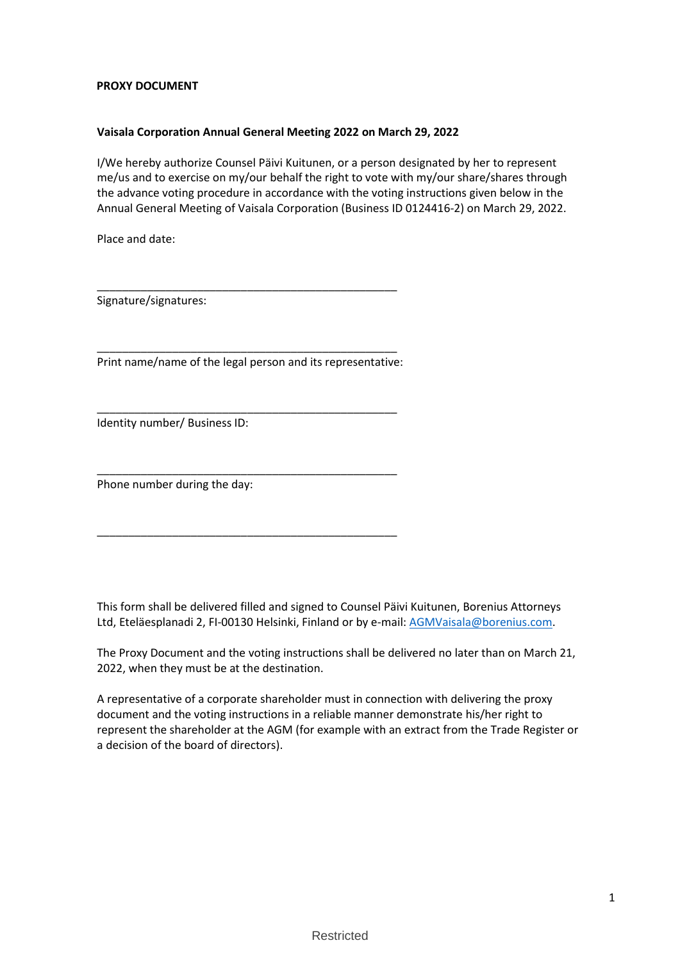## **PROXY DOCUMENT**

## **Vaisala Corporation Annual General Meeting 2022 on March 29, 2022**

I/We hereby authorize Counsel Päivi Kuitunen, or a person designated by her to represent me/us and to exercise on my/our behalf the right to vote with my/our share/shares through the advance voting procedure in accordance with the voting instructions given below in the Annual General Meeting of Vaisala Corporation (Business ID 0124416-2) on March 29, 2022.

Place and date:

Signature/signatures:

\_\_\_\_\_\_\_\_\_\_\_\_\_\_\_\_\_\_\_\_\_\_\_\_\_\_\_\_\_\_\_\_\_\_\_\_\_\_\_\_\_\_\_\_\_\_\_\_ Print name/name of the legal person and its representative:

\_\_\_\_\_\_\_\_\_\_\_\_\_\_\_\_\_\_\_\_\_\_\_\_\_\_\_\_\_\_\_\_\_\_\_\_\_\_\_\_\_\_\_\_\_\_\_\_

\_\_\_\_\_\_\_\_\_\_\_\_\_\_\_\_\_\_\_\_\_\_\_\_\_\_\_\_\_\_\_\_\_\_\_\_\_\_\_\_\_\_\_\_\_\_\_\_

\_\_\_\_\_\_\_\_\_\_\_\_\_\_\_\_\_\_\_\_\_\_\_\_\_\_\_\_\_\_\_\_\_\_\_\_\_\_\_\_\_\_\_\_\_\_\_\_

\_\_\_\_\_\_\_\_\_\_\_\_\_\_\_\_\_\_\_\_\_\_\_\_\_\_\_\_\_\_\_\_\_\_\_\_\_\_\_\_\_\_\_\_\_\_\_\_

Identity number/ Business ID:

Phone number during the day:

This form shall be delivered filled and signed to Counsel Päivi Kuitunen, Borenius Attorneys Ltd, Eteläesplanadi 2, FI-00130 Helsinki, Finland or by e-mail: [AGMVaisala@borenius.com.](mailto:AGMVaisala@borenius.com)

The Proxy Document and the voting instructions shall be delivered no later than on March 21, 2022, when they must be at the destination.

A representative of a corporate shareholder must in connection with delivering the proxy document and the voting instructions in a reliable manner demonstrate his/her right to represent the shareholder at the AGM (for example with an extract from the Trade Register or a decision of the board of directors).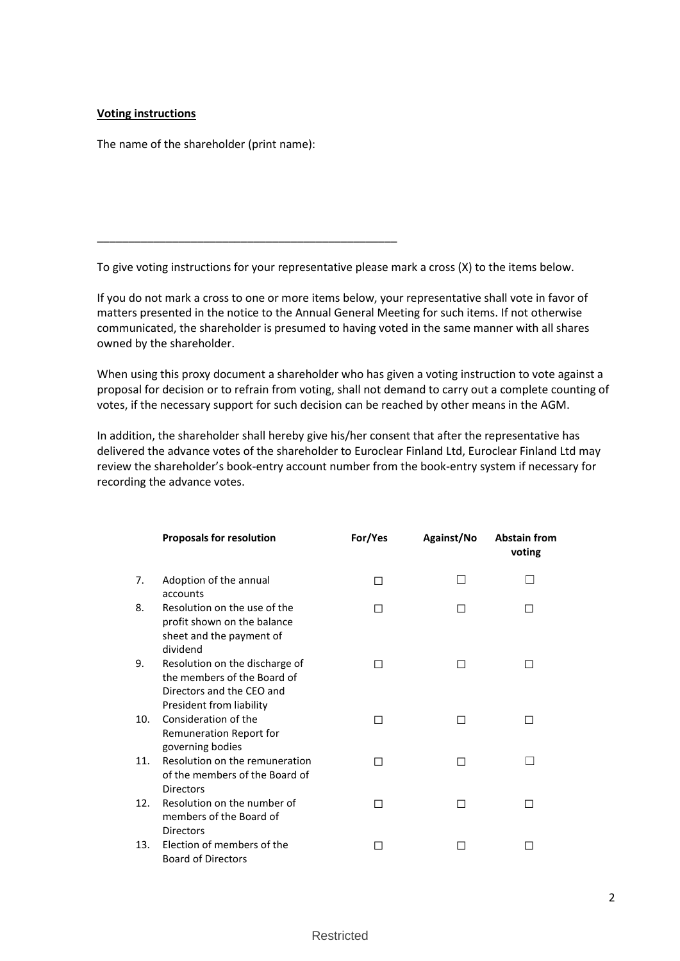## **Voting instructions**

The name of the shareholder (print name):

\_\_\_\_\_\_\_\_\_\_\_\_\_\_\_\_\_\_\_\_\_\_\_\_\_\_\_\_\_\_\_\_\_\_\_\_\_\_\_\_\_\_\_\_\_\_\_\_

To give voting instructions for your representative please mark a cross (X) to the items below.

If you do not mark a cross to one or more items below, your representative shall vote in favor of matters presented in the notice to the Annual General Meeting for such items. If not otherwise communicated, the shareholder is presumed to having voted in the same manner with all shares owned by the shareholder.

When using this proxy document a shareholder who has given a voting instruction to vote against a proposal for decision or to refrain from voting, shall not demand to carry out a complete counting of votes, if the necessary support for such decision can be reached by other means in the AGM.

In addition, the shareholder shall hereby give his/her consent that after the representative has delivered the advance votes of the shareholder to Euroclear Finland Ltd, Euroclear Finland Ltd may review the shareholder's book-entry account number from the book-entry system if necessary for recording the advance votes.

|     | <b>Proposals for resolution</b>                                                                                        | For/Yes | Against/No | <b>Abstain from</b><br>voting |
|-----|------------------------------------------------------------------------------------------------------------------------|---------|------------|-------------------------------|
| 7.  | Adoption of the annual<br>accounts                                                                                     | П       |            |                               |
| 8.  | Resolution on the use of the<br>profit shown on the balance<br>sheet and the payment of<br>dividend                    | П       | ΙI         |                               |
| 9.  | Resolution on the discharge of<br>the members of the Board of<br>Directors and the CEO and<br>President from liability | H       | П          |                               |
| 10. | Consideration of the<br>Remuneration Report for<br>governing bodies                                                    | П       | ΙI         |                               |
| 11. | Resolution on the remuneration<br>of the members of the Board of<br><b>Directors</b>                                   | П       | П          |                               |
| 12. | Resolution on the number of<br>members of the Board of<br><b>Directors</b>                                             | П       | П          |                               |
| 13. | Election of members of the<br><b>Board of Directors</b>                                                                |         |            |                               |